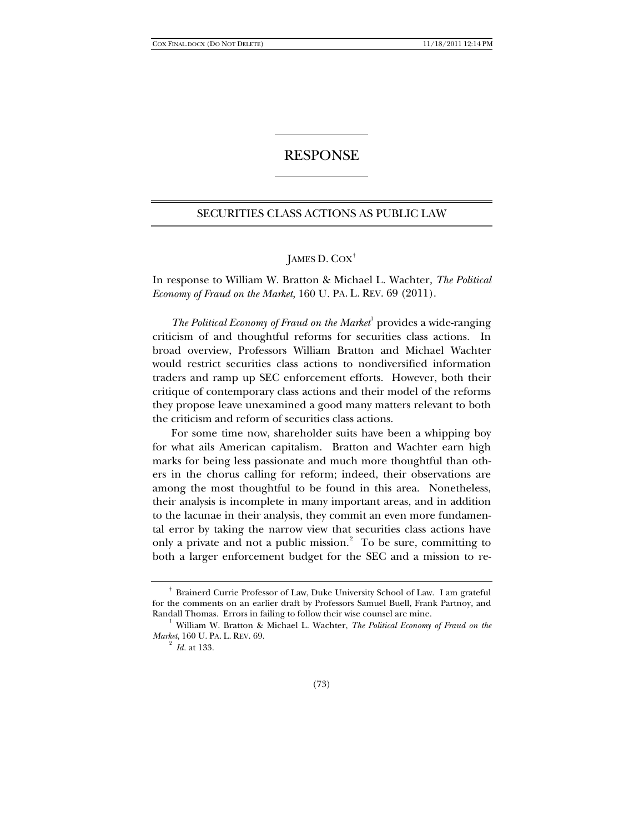## RESPONSE

### SECURITIES CLASS ACTIONS AS PUBLIC LAW

# JAMES D. COX[†](#page-0-0)

In response to William W. Bratton & Michael L. Wachter, *The Political Economy of Fraud on the Market*, 160 U. PA. L. REV. 69 (2011).

The Political Economy of Fraud on the Market<sup>[1](#page-0-1)</sup> provides a wide-ranging criticism of and thoughtful reforms for securities class actions. In broad overview, Professors William Bratton and Michael Wachter would restrict securities class actions to nondiversified information traders and ramp up SEC enforcement efforts. However, both their critique of contemporary class actions and their model of the reforms they propose leave unexamined a good many matters relevant to both the criticism and reform of securities class actions.

For some time now, shareholder suits have been a whipping boy for what ails American capitalism. Bratton and Wachter earn high marks for being less passionate and much more thoughtful than others in the chorus calling for reform; indeed, their observations are among the most thoughtful to be found in this area. Nonetheless, their analysis is incomplete in many important areas, and in addition to the lacunae in their analysis, they commit an even more fundamental error by taking the narrow view that securities class actions have only a private and not a public mission. [2](#page-0-2) To be sure, committing to both a larger enforcement budget for the SEC and a mission to re-

<span id="page-0-0"></span><sup>†</sup> Brainerd Currie Professor of Law, Duke University School of Law. I am grateful for the comments on an earlier draft by Professors Samuel Buell, Frank Partnoy, and Randall Thomas. Errors in failing to follow their wise counsel are mine.

<span id="page-0-2"></span><span id="page-0-1"></span><sup>&</sup>lt;sup>1</sup> William W. Bratton & Michael L. Wachter, *The Political Economy of Fraud on the Market*, 160 U. PA. L. REV. 69.

<sup>2</sup> *Id.* at 133.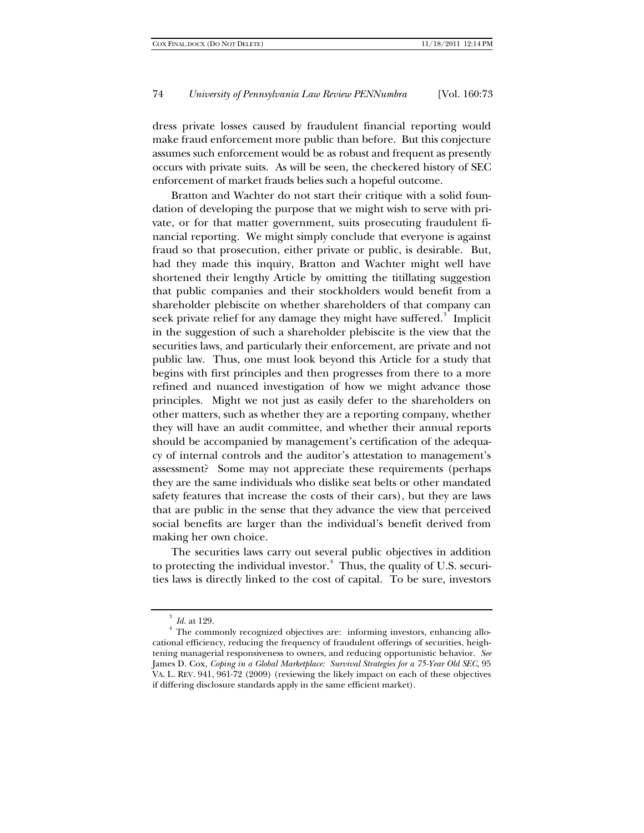dress private losses caused by fraudulent financial reporting would make fraud enforcement more public than before. But this conjecture assumes such enforcement would be as robust and frequent as presently occurs with private suits. As will be seen, the checkered history of SEC enforcement of market frauds belies such a hopeful outcome.

Bratton and Wachter do not start their critique with a solid foundation of developing the purpose that we might wish to serve with private, or for that matter government, suits prosecuting fraudulent financial reporting. We might simply conclude that everyone is against fraud so that prosecution, either private or public, is desirable. But, had they made this inquiry, Bratton and Wachter might well have shortened their lengthy Article by omitting the titillating suggestion that public companies and their stockholders would benefit from a shareholder plebiscite on whether shareholders of that company can seek private relief for any damage they might have suffered. $^3$  $^3$  Implicit in the suggestion of such a shareholder plebiscite is the view that the securities laws, and particularly their enforcement, are private and not public law. Thus, one must look beyond this Article for a study that begins with first principles and then progresses from there to a more refined and nuanced investigation of how we might advance those principles. Might we not just as easily defer to the shareholders on other matters, such as whether they are a reporting company, whether they will have an audit committee, and whether their annual reports should be accompanied by management's certification of the adequacy of internal controls and the auditor's attestation to management's assessment? Some may not appreciate these requirements (perhaps they are the same individuals who dislike seat belts or other mandated safety features that increase the costs of their cars), but they are laws that are public in the sense that they advance the view that perceived social benefits are larger than the individual's benefit derived from making her own choice.

The securities laws carry out several public objectives in addition to protecting the individual investor. [4](#page-1-1) Thus, the quality of U.S. securities laws is directly linked to the cost of capital. To be sure, investors

<sup>3</sup> *Id.* at 129.

<span id="page-1-1"></span><span id="page-1-0"></span><sup>&</sup>lt;sup>4</sup> The commonly recognized objectives are: informing investors, enhancing allocational efficiency, reducing the frequency of fraudulent offerings of securities, heightening managerial responsiveness to owners, and reducing opportunistic behavior. *See* James D. Cox, *Coping in a Global Marketplace: Survival Strategies for a 75-Year Old SEC*, 95 VA. L. REV. 941, 961-72 (2009) (reviewing the likely impact on each of these objectives if differing disclosure standards apply in the same efficient market).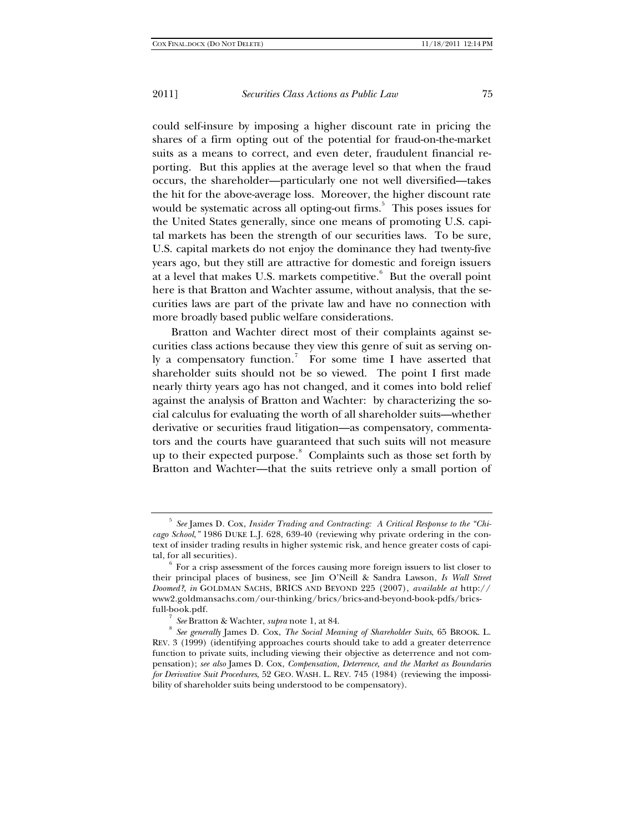could self-insure by imposing a higher discount rate in pricing the shares of a firm opting out of the potential for fraud-on-the-market suits as a means to correct, and even deter, fraudulent financial reporting. But this applies at the average level so that when the fraud occurs, the shareholder—particularly one not well diversified—takes the hit for the above-average loss. Moreover, the higher discount rate would be systematic across all opting-out firms.<sup>[5](#page-2-0)</sup> This poses issues for the United States generally, since one means of promoting U.S. capital markets has been the strength of our securities laws. To be sure, U.S. capital markets do not enjoy the dominance they had twenty-five years ago, but they still are attractive for domestic and foreign issuers at a level that makes U.S. markets competitive. <sup>[6](#page-2-1)</sup> But the overall point here is that Bratton and Wachter assume, without analysis, that the securities laws are part of the private law and have no connection with more broadly based public welfare considerations.

Bratton and Wachter direct most of their complaints against securities class actions because they view this genre of suit as serving on-ly a compensatory function.<sup>[7](#page-2-2)</sup> For some time I have asserted that shareholder suits should not be so viewed. The point I first made nearly thirty years ago has not changed, and it comes into bold relief against the analysis of Bratton and Wachter: by characterizing the social calculus for evaluating the worth of all shareholder suits—whether derivative or securities fraud litigation—as compensatory, commentators and the courts have guaranteed that such suits will not measure up to their expected purpose.<sup>[8](#page-2-3)</sup> Complaints such as those set forth by Bratton and Wachter—that the suits retrieve only a small portion of

<span id="page-2-0"></span><sup>5</sup> *See* James D. Cox, *Insider Trading and Contracting: A Critical Response to the "Chicago School*,*"* 1986 DUKE L.J. 628, 639-40 (reviewing why private ordering in the context of insider trading results in higher systemic risk, and hence greater costs of capital, for all securities).

<span id="page-2-1"></span><sup>6</sup> For a crisp assessment of the forces causing more foreign issuers to list closer to their principal places of business, see Jim O'Neill & Sandra Lawson, *Is Wall Street Doomed?*, *in* GOLDMAN SACHS, BRICS AND BEYOND 225 (2007), *available at* http:// www2.goldmansachs.com/our-thinking/brics/brics-and-beyond-book-pdfs/bricsfull-book.pdf.

<sup>7</sup> *See* Bratton & Wachter, *supra* note 1, at 84.

<span id="page-2-3"></span><span id="page-2-2"></span><sup>8</sup> *See generally* James D. Cox, *The Social Meaning of Shareholder Suits*, 65 BROOK. L. REV. 3 (1999) (identifying approaches courts should take to add a greater deterrence function to private suits, including viewing their objective as deterrence and not compensation); *see also* James D. Cox, *Compensation, Deterrence, and the Market as Boundaries for Derivative Suit Procedures*, 52 GEO. WASH. L. REV. 745 (1984) (reviewing the impossibility of shareholder suits being understood to be compensatory).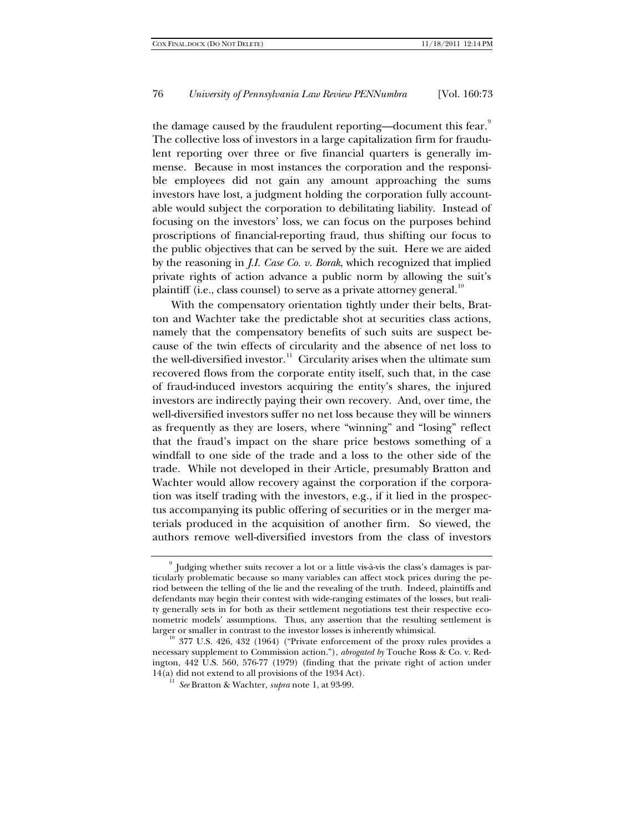the damage caused by the fraudulent reporting—document this fear. $^9$  $^9$ The collective loss of investors in a large capitalization firm for fraudulent reporting over three or five financial quarters is generally immense. Because in most instances the corporation and the responsible employees did not gain any amount approaching the sums investors have lost, a judgment holding the corporation fully accountable would subject the corporation to debilitating liability. Instead of focusing on the investors' loss, we can focus on the purposes behind proscriptions of financial-reporting fraud, thus shifting our focus to the public objectives that can be served by the suit. Here we are aided by the reasoning in *J.I. Case Co. v. Borak*, which recognized that implied private rights of action advance a public norm by allowing the suit's plaintiff (i.e., class counsel) to serve as a private attorney general. $10$ 

With the compensatory orientation tightly under their belts, Bratton and Wachter take the predictable shot at securities class actions, namely that the compensatory benefits of such suits are suspect because of the twin effects of circularity and the absence of net loss to the well-diversified investor.<sup>[11](#page-3-2)</sup> Circularity arises when the ultimate sum recovered flows from the corporate entity itself, such that, in the case of fraud-induced investors acquiring the entity's shares, the injured investors are indirectly paying their own recovery. And, over time, the well-diversified investors suffer no net loss because they will be winners as frequently as they are losers, where "winning" and "losing" reflect that the fraud's impact on the share price bestows something of a windfall to one side of the trade and a loss to the other side of the trade. While not developed in their Article, presumably Bratton and Wachter would allow recovery against the corporation if the corporation was itself trading with the investors, e.g., if it lied in the prospectus accompanying its public offering of securities or in the merger materials produced in the acquisition of another firm. So viewed, the authors remove well-diversified investors from the class of investors

<span id="page-3-0"></span><sup>9</sup> Judging whether suits recover a lot or a little vis-à-vis the class's damages is particularly problematic because so many variables can affect stock prices during the period between the telling of the lie and the revealing of the truth. Indeed, plaintiffs and defendants may begin their contest with wide-ranging estimates of the losses, but reality generally sets in for both as their settlement negotiations test their respective econometric models' assumptions. Thus, any assertion that the resulting settlement is larger or smaller in contrast to the investor losses is inherently whimsical.

<span id="page-3-2"></span><span id="page-3-1"></span><sup>&</sup>lt;sup>10</sup> 377 U.S. 426, 432 (1964) ("Private enforcement of the proxy rules provides a necessary supplement to Commission action."), *abrogated by* Touche Ross & Co. v. Redington, 442 U.S. 560, 576-77 (1979) (finding that the private right of action under  $14(a)$  did not extend to all provisions of the 1934 Act).

<sup>11</sup> *See* Bratton & Wachter, *supra* note 1, at 93-99.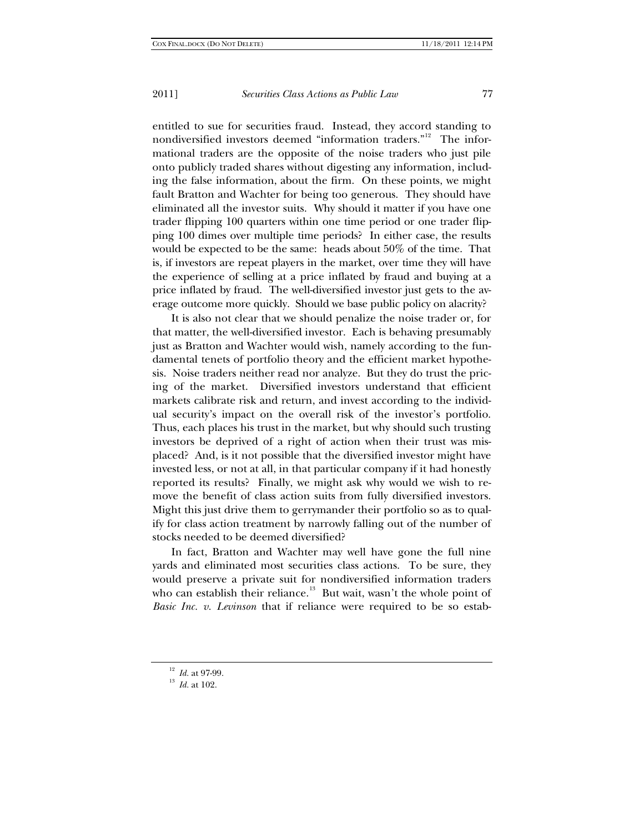entitled to sue for securities fraud. Instead, they accord standing to nondiversified investors deemed "information traders."<sup>[12](#page-4-0)</sup> The informational traders are the opposite of the noise traders who just pile onto publicly traded shares without digesting any information, including the false information, about the firm. On these points, we might fault Bratton and Wachter for being too generous. They should have eliminated all the investor suits. Why should it matter if you have one trader flipping 100 quarters within one time period or one trader flipping 100 dimes over multiple time periods? In either case, the results would be expected to be the same: heads about 50% of the time. That is, if investors are repeat players in the market, over time they will have the experience of selling at a price inflated by fraud and buying at a price inflated by fraud. The well-diversified investor just gets to the average outcome more quickly. Should we base public policy on alacrity?

It is also not clear that we should penalize the noise trader or, for that matter, the well-diversified investor. Each is behaving presumably just as Bratton and Wachter would wish, namely according to the fundamental tenets of portfolio theory and the efficient market hypothesis. Noise traders neither read nor analyze. But they do trust the pricing of the market. Diversified investors understand that efficient markets calibrate risk and return, and invest according to the individual security's impact on the overall risk of the investor's portfolio. Thus, each places his trust in the market, but why should such trusting investors be deprived of a right of action when their trust was misplaced? And, is it not possible that the diversified investor might have invested less, or not at all, in that particular company if it had honestly reported its results? Finally, we might ask why would we wish to remove the benefit of class action suits from fully diversified investors. Might this just drive them to gerrymander their portfolio so as to qualify for class action treatment by narrowly falling out of the number of stocks needed to be deemed diversified?

In fact, Bratton and Wachter may well have gone the full nine yards and eliminated most securities class actions. To be sure, they would preserve a private suit for nondiversified information traders who can establish their reliance. $^{13}$  $^{13}$  $^{13}$  But wait, wasn't the whole point of *Basic Inc. v. Levinson* that if reliance were required to be so estab-

<span id="page-4-0"></span><sup>12</sup> *Id.* at 97-99.

<span id="page-4-1"></span><sup>13</sup> *Id.* at 102.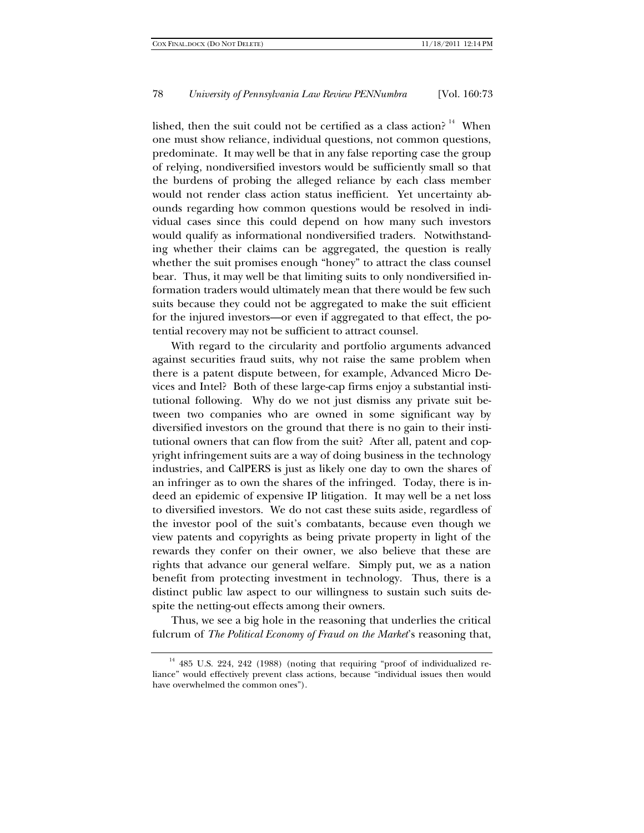lished, then the suit could not be certified as a class action?  $14$  When one must show reliance, individual questions, not common questions, predominate. It may well be that in any false reporting case the group of relying, nondiversified investors would be sufficiently small so that the burdens of probing the alleged reliance by each class member would not render class action status inefficient. Yet uncertainty abounds regarding how common questions would be resolved in individual cases since this could depend on how many such investors would qualify as informational nondiversified traders. Notwithstanding whether their claims can be aggregated, the question is really whether the suit promises enough "honey" to attract the class counsel bear. Thus, it may well be that limiting suits to only nondiversified information traders would ultimately mean that there would be few such suits because they could not be aggregated to make the suit efficient for the injured investors—or even if aggregated to that effect, the potential recovery may not be sufficient to attract counsel.

With regard to the circularity and portfolio arguments advanced against securities fraud suits, why not raise the same problem when there is a patent dispute between, for example, Advanced Micro Devices and Intel? Both of these large-cap firms enjoy a substantial institutional following. Why do we not just dismiss any private suit between two companies who are owned in some significant way by diversified investors on the ground that there is no gain to their institutional owners that can flow from the suit? After all, patent and copyright infringement suits are a way of doing business in the technology industries, and CalPERS is just as likely one day to own the shares of an infringer as to own the shares of the infringed. Today, there is indeed an epidemic of expensive IP litigation. It may well be a net loss to diversified investors. We do not cast these suits aside, regardless of the investor pool of the suit's combatants, because even though we view patents and copyrights as being private property in light of the rewards they confer on their owner, we also believe that these are rights that advance our general welfare. Simply put, we as a nation benefit from protecting investment in technology. Thus, there is a distinct public law aspect to our willingness to sustain such suits despite the netting-out effects among their owners.

Thus, we see a big hole in the reasoning that underlies the critical fulcrum of *The Political Economy of Fraud on the Market*'s reasoning that,

<span id="page-5-0"></span><sup>&</sup>lt;sup>14</sup> 485 U.S. 224, 242 (1988) (noting that requiring "proof of individualized reliance" would effectively prevent class actions, because "individual issues then would have overwhelmed the common ones").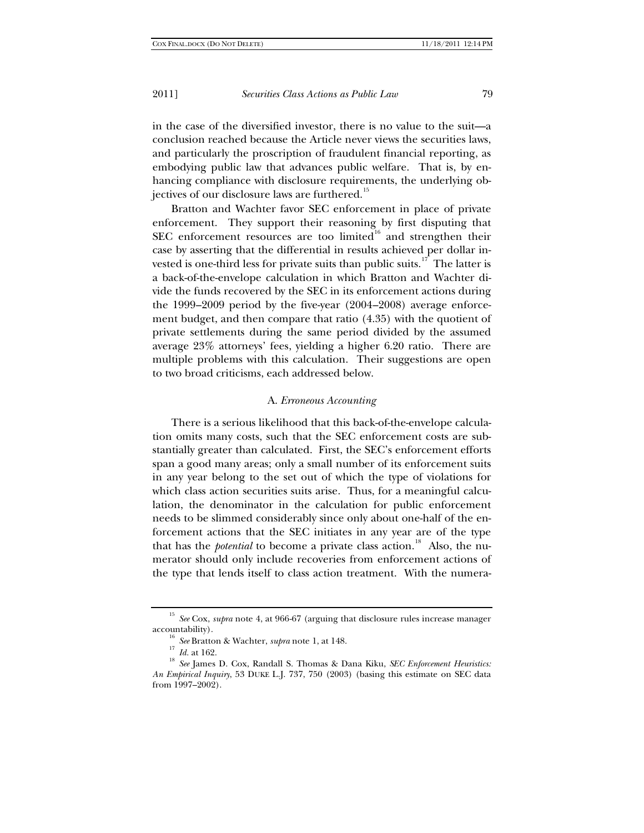in the case of the diversified investor, there is no value to the suit—a conclusion reached because the Article never views the securities laws, and particularly the proscription of fraudulent financial reporting, as embodying public law that advances public welfare. That is, by enhancing compliance with disclosure requirements, the underlying ob-jectives of our disclosure laws are furthered.<sup>[15](#page-6-0)</sup>

Bratton and Wachter favor SEC enforcement in place of private enforcement. They support their reasoning by first disputing that SEC enforcement resources are too limited<sup>[16](#page-6-1)</sup> and strengthen their case by asserting that the differential in results achieved per dollar in-vested is one-third less for private suits than public suits.<sup>[17](#page-6-2)</sup> The latter is a back-of-the-envelope calculation in which Bratton and Wachter divide the funds recovered by the SEC in its enforcement actions during the 1999–2009 period by the five-year (2004–2008) average enforcement budget, and then compare that ratio (4.35) with the quotient of private settlements during the same period divided by the assumed average 23% attorneys' fees, yielding a higher 6.20 ratio. There are multiple problems with this calculation. Their suggestions are open to two broad criticisms, each addressed below.

#### <span id="page-6-4"></span>A. *Erroneous Accounting*

There is a serious likelihood that this back-of-the-envelope calculation omits many costs, such that the SEC enforcement costs are substantially greater than calculated. First, the SEC's enforcement efforts span a good many areas; only a small number of its enforcement suits in any year belong to the set out of which the type of violations for which class action securities suits arise. Thus, for a meaningful calculation, the denominator in the calculation for public enforcement needs to be slimmed considerably since only about one-half of the enforcement actions that the SEC initiates in any year are of the type that has the *potential* to become a private class action.<sup>[18](#page-6-3)</sup> Also, the numerator should only include recoveries from enforcement actions of the type that lends itself to class action treatment. With the numera-

<span id="page-6-0"></span><sup>15</sup> *See* Cox, *supra* note 4, at 966-67 (arguing that disclosure rules increase manager accountability).

<sup>16</sup> *See* Bratton & Wachter, *supra* note 1, at 148.

 $\frac{17}{10}$  *Id.* at 162.

<span id="page-6-3"></span><span id="page-6-2"></span><span id="page-6-1"></span><sup>18</sup> *See* James D. Cox, Randall S. Thomas & Dana Kiku, *SEC Enforcement Heuristics: An Empirical Inquiry*, 53 DUKE L.J. 737, 750 (2003) (basing this estimate on SEC data from 1997–2002).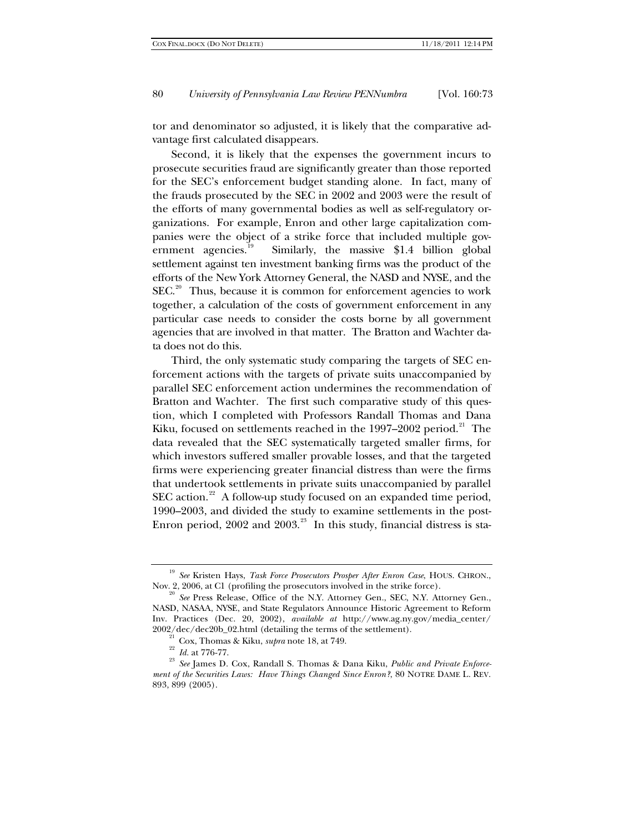tor and denominator so adjusted, it is likely that the comparative advantage first calculated disappears.

Second, it is likely that the expenses the government incurs to prosecute securities fraud are significantly greater than those reported for the SEC's enforcement budget standing alone. In fact, many of the frauds prosecuted by the SEC in 2002 and 2003 were the result of the efforts of many governmental bodies as well as self-regulatory organizations. For example, Enron and other large capitalization companies were the object of a strike force that included multiple government agencies. $^{19}$  $^{19}$  $^{19}$  Similarly, the massive \$1.4 billion global settlement against ten investment banking firms was the product of the efforts of the New York Attorney General, the NASD and NYSE, and the  $SEC.<sup>20</sup>$  $SEC.<sup>20</sup>$  $SEC.<sup>20</sup>$  Thus, because it is common for enforcement agencies to work together, a calculation of the costs of government enforcement in any particular case needs to consider the costs borne by all government agencies that are involved in that matter. The Bratton and Wachter data does not do this.

Third, the only systematic study comparing the targets of SEC enforcement actions with the targets of private suits unaccompanied by parallel SEC enforcement action undermines the recommendation of Bratton and Wachter. The first such comparative study of this question, which I completed with Professors Randall Thomas and Dana Kiku, focused on settlements reached in the 1997–2002 period.<sup>[21](#page-7-2)</sup> The data revealed that the SEC systematically targeted smaller firms, for which investors suffered smaller provable losses, and that the targeted firms were experiencing greater financial distress than were the firms that undertook settlements in private suits unaccompanied by parallel SEC action.<sup>22</sup> A follow-up study focused on an expanded time period, 1990–2003, and divided the study to examine settlements in the post-Enron period,  $2002$  and  $2003.^{^{23}}\,$  $2003.^{^{23}}\,$  $2003.^{^{23}}\,$  In this study, financial distress is sta-

<span id="page-7-0"></span><sup>19</sup> *See* Kristen Hays, *Task Force Prosecutors Prosper After Enron Case*, HOUS. CHRON., Nov. 2, 2006, at C1 (profiling the prosecutors involved in the strike force).

<span id="page-7-1"></span><sup>&</sup>lt;sup>20</sup> See Press Release, Office of the N.Y. Attorney Gen., SEC, N.Y. Attorney Gen., NASD, NASAA, NYSE, and State Regulators Announce Historic Agreement to Reform Inv. Practices (Dec. 20, 2002), *available at* http://www.ag.ny.gov/media\_center/ 2002/dec/dec20b\_02.html (detailing the terms of the settlement).

<sup>21</sup> Cox, Thomas & Kiku, *supra* note [18,](#page-6-4) at 749.

<sup>22</sup> *Id.* at 776-77.

<span id="page-7-4"></span><span id="page-7-3"></span><span id="page-7-2"></span><sup>23</sup> *See* James D. Cox, Randall S. Thomas & Dana Kiku, *Public and Private Enforcement of the Securities Laws: Have Things Changed Since Enron?*, 80 NOTRE DAME L. REV. 893, 899 (2005).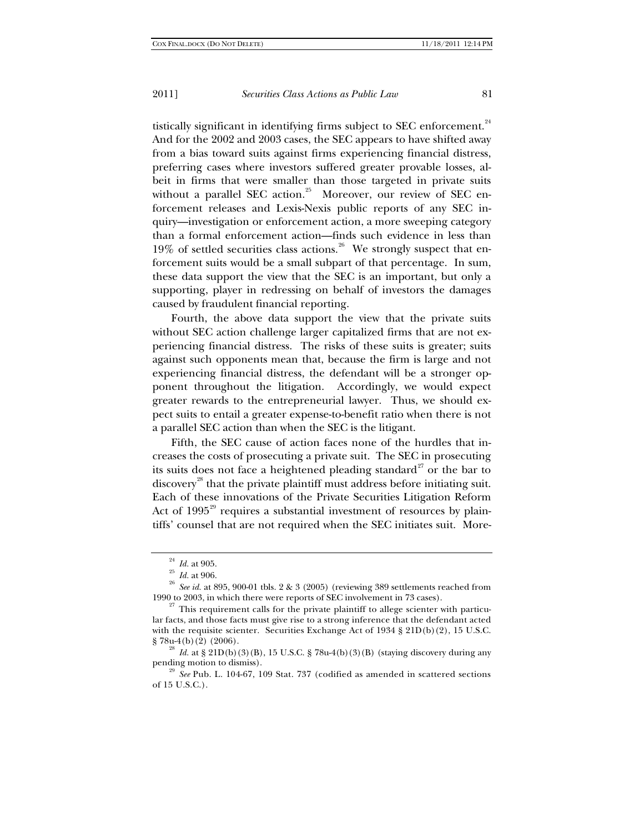tistically significant in identifying firms subject to SEC enforcement.<sup>[24](#page-8-0)</sup> And for the 2002 and 2003 cases, the SEC appears to have shifted away from a bias toward suits against firms experiencing financial distress, preferring cases where investors suffered greater provable losses, albeit in firms that were smaller than those targeted in private suits without a parallel SEC action.<sup>[25](#page-8-1)</sup> Moreover, our review of SEC enforcement releases and Lexis-Nexis public reports of any SEC inquiry—investigation or enforcement action, a more sweeping category than a formal enforcement action—finds such evidence in less than 19% of settled securities class actions.<sup>[26](#page-8-2)</sup> We strongly suspect that enforcement suits would be a small subpart of that percentage. In sum, these data support the view that the SEC is an important, but only a supporting, player in redressing on behalf of investors the damages caused by fraudulent financial reporting.

Fourth, the above data support the view that the private suits without SEC action challenge larger capitalized firms that are not experiencing financial distress. The risks of these suits is greater; suits against such opponents mean that, because the firm is large and not experiencing financial distress, the defendant will be a stronger opponent throughout the litigation. Accordingly, we would expect greater rewards to the entrepreneurial lawyer. Thus, we should expect suits to entail a greater expense-to-benefit ratio when there is not a parallel SEC action than when the SEC is the litigant.

Fifth, the SEC cause of action faces none of the hurdles that increases the costs of prosecuting a private suit. The SEC in prosecuting its suits does not face a heightened pleading standard<sup>[27](#page-8-3)</sup> or the bar to discovery<sup>[28](#page-8-4)</sup> that the private plaintiff must address before initiating suit. Each of these innovations of the Private Securities Litigation Reform Act of 1995<sup>[29](#page-8-5)</sup> requires a substantial investment of resources by plaintiffs' counsel that are not required when the SEC initiates suit. More-

 $^{24}\,$   $Id.$  at 905.

<sup>25</sup> *Id.* at 906.

<span id="page-8-2"></span><span id="page-8-1"></span><span id="page-8-0"></span><sup>&</sup>lt;sup>26</sup> *See id.* at 895, 900-01 tbls. 2 & 3 (2005) (reviewing 389 settlements reached from 1990 to 2003, in which there were reports of SEC involvement in 73 cases).

<span id="page-8-3"></span> $27$  This requirement calls for the private plaintiff to allege scienter with particular facts, and those facts must give rise to a strong inference that the defendant acted with the requisite scienter. Securities Exchange Act of  $1934 \text{ } \frac{8}{3} \cdot 21D(b)(2)$ , 15 U.S.C. § 78u-4(b)(2) (2006).

<span id="page-8-4"></span><sup>&</sup>lt;sup>28</sup> *Id.* at § 21D(b)(3)(B), 15 U.S.C. § 78u-4(b)(3)(B) (staying discovery during any pending motion to dismiss).

<span id="page-8-5"></span><sup>29</sup> *See* Pub. L. 104-67, 109 Stat. 737 (codified as amended in scattered sections of 15 U.S.C.).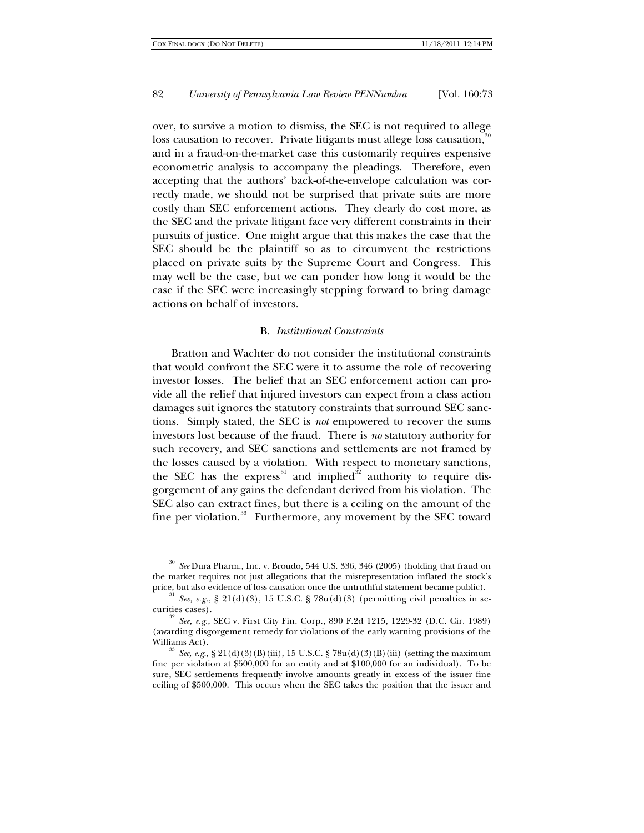over, to survive a motion to dismiss, the SEC is not required to allege loss causation to recover. Private litigants must allege loss causation,<sup>[30](#page-9-0)</sup> and in a fraud-on-the-market case this customarily requires expensive econometric analysis to accompany the pleadings. Therefore, even accepting that the authors' back-of-the-envelope calculation was correctly made, we should not be surprised that private suits are more costly than SEC enforcement actions. They clearly do cost more, as the SEC and the private litigant face very different constraints in their pursuits of justice. One might argue that this makes the case that the SEC should be the plaintiff so as to circumvent the restrictions placed on private suits by the Supreme Court and Congress. This may well be the case, but we can ponder how long it would be the case if the SEC were increasingly stepping forward to bring damage actions on behalf of investors.

#### B. *Institutional Constraints*

Bratton and Wachter do not consider the institutional constraints that would confront the SEC were it to assume the role of recovering investor losses. The belief that an SEC enforcement action can provide all the relief that injured investors can expect from a class action damages suit ignores the statutory constraints that surround SEC sanctions. Simply stated, the SEC is *not* empowered to recover the sums investors lost because of the fraud. There is *no* statutory authority for such recovery, and SEC sanctions and settlements are not framed by the losses caused by a violation. With respect to monetary sanctions, the SEC has the express<sup>[31](#page-9-1)</sup> and implied<sup>[32](#page-9-2)</sup> authority to require disgorgement of any gains the defendant derived from his violation. The SEC also can extract fines, but there is a ceiling on the amount of the fine per violation.<sup>[33](#page-9-3)</sup> Furthermore, any movement by the SEC toward

<span id="page-9-0"></span><sup>30</sup> *See* Dura Pharm., Inc. v. Broudo, 544 U.S. 336, 346 (2005) (holding that fraud on the market requires not just allegations that the misrepresentation inflated the stock's price, but also evidence of loss causation once the untruthful statement became public).

<span id="page-9-1"></span><sup>31</sup> *See, e.g.*, § 21(d)(3), 15 U.S.C. § 78u(d)(3) (permitting civil penalties in securities cases).

<span id="page-9-2"></span><sup>32</sup> *See, e.g.*, SEC v. First City Fin. Corp., 890 F.2d 1215, 1229-32 (D.C. Cir. 1989) (awarding disgorgement remedy for violations of the early warning provisions of the Williams Act).<br><sup>33</sup> *See, e.g.*, § 21(d)(3)(B)(iii), 15 U.S.C. § 78u(d)(3)(B)(iii) (setting the maximum

<span id="page-9-3"></span>fine per violation at \$500,000 for an entity and at \$100,000 for an individual). To be sure, SEC settlements frequently involve amounts greatly in excess of the issuer fine ceiling of \$500,000. This occurs when the SEC takes the position that the issuer and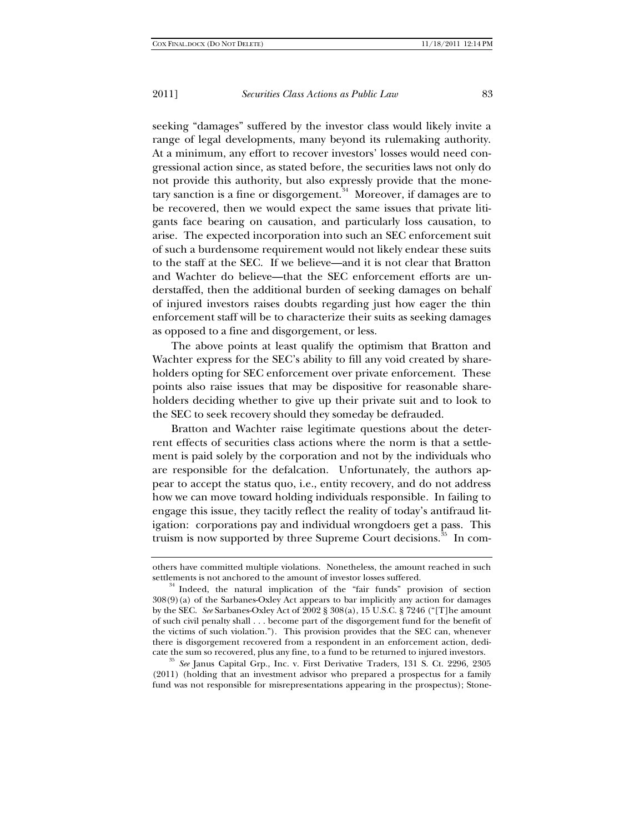seeking "damages" suffered by the investor class would likely invite a range of legal developments, many beyond its rulemaking authority. At a minimum, any effort to recover investors' losses would need congressional action since, as stated before, the securities laws not only do not provide this authority, but also expressly provide that the monetary sanction is a fine or disgorgement. $34$  Moreover, if damages are to be recovered, then we would expect the same issues that private litigants face bearing on causation, and particularly loss causation, to arise. The expected incorporation into such an SEC enforcement suit of such a burdensome requirement would not likely endear these suits to the staff at the SEC. If we believe—and it is not clear that Bratton and Wachter do believe—that the SEC enforcement efforts are understaffed, then the additional burden of seeking damages on behalf of injured investors raises doubts regarding just how eager the thin enforcement staff will be to characterize their suits as seeking damages as opposed to a fine and disgorgement, or less.

The above points at least qualify the optimism that Bratton and Wachter express for the SEC's ability to fill any void created by shareholders opting for SEC enforcement over private enforcement. These points also raise issues that may be dispositive for reasonable shareholders deciding whether to give up their private suit and to look to the SEC to seek recovery should they someday be defrauded.

Bratton and Wachter raise legitimate questions about the deterrent effects of securities class actions where the norm is that a settlement is paid solely by the corporation and not by the individuals who are responsible for the defalcation. Unfortunately, the authors appear to accept the status quo, i.e., entity recovery, and do not address how we can move toward holding individuals responsible. In failing to engage this issue, they tacitly reflect the reality of today's antifraud litigation: corporations pay and individual wrongdoers get a pass. This truism is now supported by three Supreme Court decisions.<sup>[35](#page-10-1)</sup> In com-

<span id="page-10-1"></span>(2011) (holding that an investment advisor who prepared a prospectus for a family fund was not responsible for misrepresentations appearing in the prospectus); Stone-

others have committed multiple violations. Nonetheless, the amount reached in such settlements is not anchored to the amount of investor losses suffered.

<span id="page-10-0"></span><sup>34</sup> Indeed, the natural implication of the "fair funds" provision of section 308(9)(a) of the Sarbanes-Oxley Act appears to bar implicitly any action for damages by the SEC. *See* Sarbanes-Oxley Act of 2002 § 308(a), 15 U.S.C. § 7246 ("[T]he amount of such civil penalty shall . . . become part of the disgorgement fund for the benefit of the victims of such violation."). This provision provides that the SEC can, whenever there is disgorgement recovered from a respondent in an enforcement action, dedicate the sum so recovered, plus any fine, to a fund to be returned to injured investors. 35 *See* Janus Capital Grp., Inc. v. First Derivative Traders, 131 S. Ct. 2296, 2305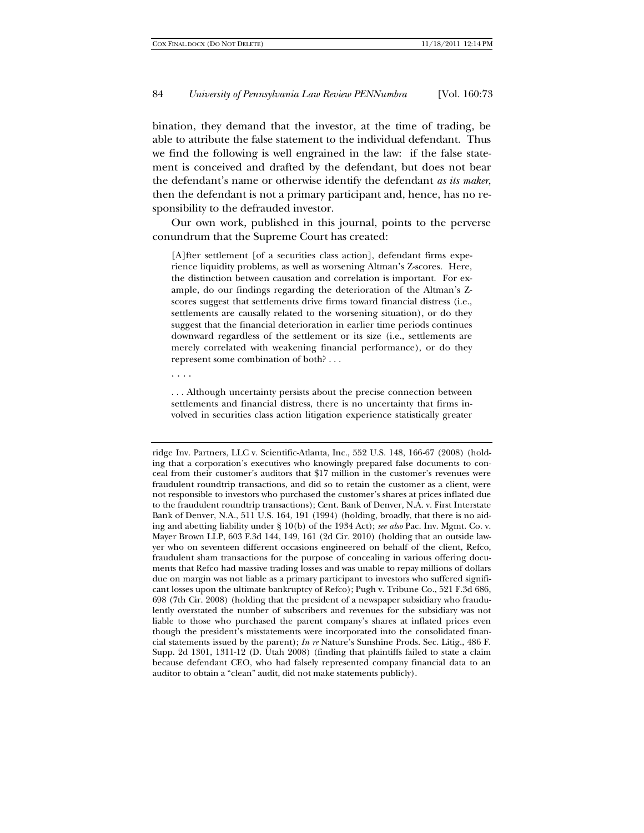bination, they demand that the investor, at the time of trading, be able to attribute the false statement to the individual defendant. Thus we find the following is well engrained in the law: if the false statement is conceived and drafted by the defendant, but does not bear the defendant's name or otherwise identify the defendant *as its maker*, then the defendant is not a primary participant and, hence, has no responsibility to the defrauded investor.

Our own work, published in this journal, points to the perverse conundrum that the Supreme Court has created:

[A]fter settlement [of a securities class action], defendant firms experience liquidity problems, as well as worsening Altman's Z-scores. Here, the distinction between causation and correlation is important. For example, do our findings regarding the deterioration of the Altman's Zscores suggest that settlements drive firms toward financial distress (i.e., settlements are causally related to the worsening situation), or do they suggest that the financial deterioration in earlier time periods continues downward regardless of the settlement or its size (i.e., settlements are merely correlated with weakening financial performance), or do they represent some combination of both? . . .

. . . .

. . . Although uncertainty persists about the precise connection between settlements and financial distress, there is no uncertainty that firms involved in securities class action litigation experience statistically greater

ridge Inv. Partners, LLC v. Scientific-Atlanta, Inc., 552 U.S. 148, 166-67 (2008) (holding that a corporation's executives who knowingly prepared false documents to conceal from their customer's auditors that \$17 million in the customer's revenues were fraudulent roundtrip transactions, and did so to retain the customer as a client, were not responsible to investors who purchased the customer's shares at prices inflated due to the fraudulent roundtrip transactions); Cent. Bank of Denver, N.A. v. First Interstate Bank of Denver, N.A., 511 U.S. 164, 191 (1994) (holding, broadly, that there is no aiding and abetting liability under § 10(b) of the 1934 Act); *see also* Pac. Inv. Mgmt. Co. v. Mayer Brown LLP, 603 F.3d 144, 149, 161 (2d Cir. 2010) (holding that an outside lawyer who on seventeen different occasions engineered on behalf of the client, Refco, fraudulent sham transactions for the purpose of concealing in various offering documents that Refco had massive trading losses and was unable to repay millions of dollars due on margin was not liable as a primary participant to investors who suffered significant losses upon the ultimate bankruptcy of Refco); Pugh v. Tribune Co., 521 F.3d 686, 698 (7th Cir. 2008) (holding that the president of a newspaper subsidiary who fraudulently overstated the number of subscribers and revenues for the subsidiary was not liable to those who purchased the parent company's shares at inflated prices even though the president's misstatements were incorporated into the consolidated financial statements issued by the parent); *In re* Nature's Sunshine Prods. Sec. Litig., 486 F. Supp. 2d 1301, 1311-12 (D. Utah 2008) (finding that plaintiffs failed to state a claim because defendant CEO, who had falsely represented company financial data to an auditor to obtain a "clean" audit, did not make statements publicly).